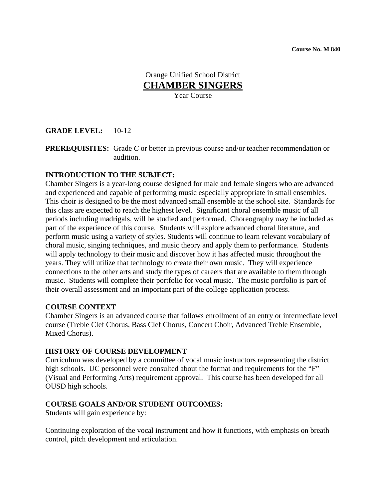Orange Unified School District **CHAMBER SINGERS** Year Course

# **GRADE LEVEL:** 10-12

**PREREQUISITES:** Grade *C* or better in previous course and/or teacher recommendation or audition.

### **INTRODUCTION TO THE SUBJECT:**

Chamber Singers is a year-long course designed for male and female singers who are advanced and experienced and capable of performing music especially appropriate in small ensembles. This choir is designed to be the most advanced small ensemble at the school site. Standards for this class are expected to reach the highest level. Significant choral ensemble music of all periods including madrigals, will be studied and performed. Choreography may be included as part of the experience of this course. Students will explore advanced choral literature, and perform music using a variety of styles. Students will continue to learn relevant vocabulary of choral music, singing techniques, and music theory and apply them to performance. Students will apply technology to their music and discover how it has affected music throughout the years. They will utilize that technology to create their own music. They will experience connections to the other arts and study the types of careers that are available to them through music. Students will complete their portfolio for vocal music. The music portfolio is part of their overall assessment and an important part of the college application process.

#### **COURSE CONTEXT**

Chamber Singers is an advanced course that follows enrollment of an entry or intermediate level course (Treble Clef Chorus, Bass Clef Chorus, Concert Choir, Advanced Treble Ensemble, Mixed Chorus).

#### **HISTORY OF COURSE DEVELOPMENT**

Curriculum was developed by a committee of vocal music instructors representing the district high schools. UC personnel were consulted about the format and requirements for the "F" (Visual and Performing Arts) requirement approval. This course has been developed for all OUSD high schools.

### **COURSE GOALS AND/OR STUDENT OUTCOMES:**

Students will gain experience by:

Continuing exploration of the vocal instrument and how it functions, with emphasis on breath control, pitch development and articulation.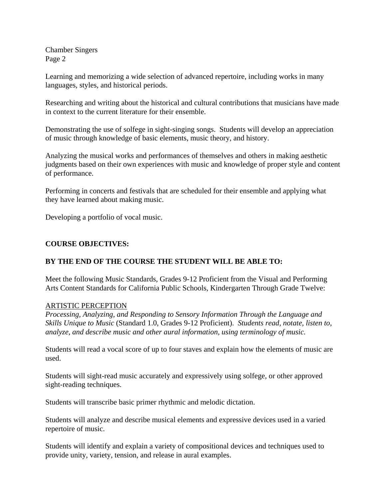Learning and memorizing a wide selection of advanced repertoire, including works in many languages, styles, and historical periods.

Researching and writing about the historical and cultural contributions that musicians have made in context to the current literature for their ensemble.

Demonstrating the use of solfege in sight-singing songs. Students will develop an appreciation of music through knowledge of basic elements, music theory, and history.

Analyzing the musical works and performances of themselves and others in making aesthetic judgments based on their own experiences with music and knowledge of proper style and content of performance.

Performing in concerts and festivals that are scheduled for their ensemble and applying what they have learned about making music.

Developing a portfolio of vocal music.

### **COURSE OBJECTIVES:**

# **BY THE END OF THE COURSE THE STUDENT WILL BE ABLE TO:**

Meet the following Music Standards, Grades 9-12 Proficient from the Visual and Performing Arts Content Standards for California Public Schools, Kindergarten Through Grade Twelve:

### ARTISTIC PERCEPTION

*Processing, Analyzing, and Responding to Sensory Information Through the Language and Skills Unique to Music* (Standard 1.0, Grades 9-12 Proficient). *Students read, notate, listen to, analyze, and describe music and other aural information, using terminology of music.* 

Students will read a vocal score of up to four staves and explain how the elements of music are used.

Students will sight-read music accurately and expressively using solfege, or other approved sight-reading techniques.

Students will transcribe basic primer rhythmic and melodic dictation.

Students will analyze and describe musical elements and expressive devices used in a varied repertoire of music.

Students will identify and explain a variety of compositional devices and techniques used to provide unity, variety, tension, and release in aural examples.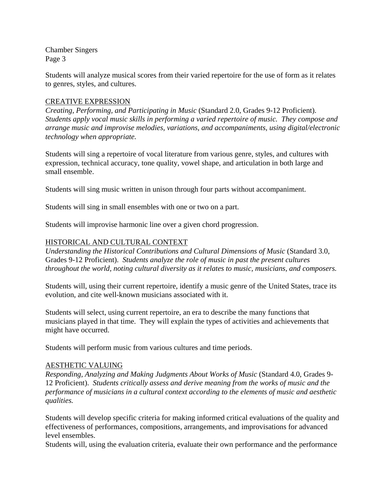Students will analyze musical scores from their varied repertoire for the use of form as it relates to genres, styles, and cultures.

### CREATIVE EXPRESSION

*Creating, Performing, and Participating in Music* (Standard 2.0, Grades 9-12 Proficient). *Students apply vocal music skills in performing a varied repertoire of music. They compose and arrange music and improvise melodies, variations, and accompaniments, using digital/electronic technology when appropriate.* 

Students will sing a repertoire of vocal literature from various genre, styles, and cultures with expression, technical accuracy, tone quality, vowel shape, and articulation in both large and small ensemble.

Students will sing music written in unison through four parts without accompaniment.

Students will sing in small ensembles with one or two on a part.

Students will improvise harmonic line over a given chord progression.

### HISTORICAL AND CULTURAL CONTEXT

*Understanding the Historical Contributions and Cultural Dimensions of Music* (Standard 3.0, Grades 9-12 Proficient). *Students analyze the role of music in past the present cultures throughout the world, noting cultural diversity as it relates to music, musicians, and composers.* 

Students will, using their current repertoire, identify a music genre of the United States, trace its evolution, and cite well-known musicians associated with it.

Students will select, using current repertoire, an era to describe the many functions that musicians played in that time. They will explain the types of activities and achievements that might have occurred.

Students will perform music from various cultures and time periods.

### AESTHETIC VALUING

*Responding, Analyzing and Making Judgments About Works of Music* (Standard 4.0, Grades 9- 12 Proficient). *Students critically assess and derive meaning from the works of music and the performance of musicians in a cultural context according to the elements of music and aesthetic qualities.* 

Students will develop specific criteria for making informed critical evaluations of the quality and effectiveness of performances, compositions, arrangements, and improvisations for advanced level ensembles.

Students will, using the evaluation criteria, evaluate their own performance and the performance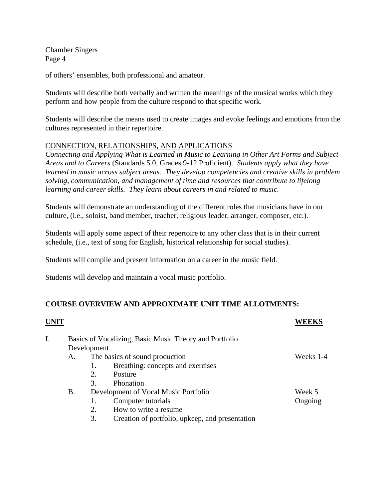of others' ensembles, both professional and amateur.

Students will describe both verbally and written the meanings of the musical works which they perform and how people from the culture respond to that specific work.

Students will describe the means used to create images and evoke feelings and emotions from the cultures represented in their repertoire.

### CONNECTION, RELATIONSHIPS, AND APPLICATIONS

*Connecting and Applying What is Learned in Music to Learning in Other Art Forms and Subject Areas and to Careers* (Standards 5.0, Grades 9-12 Proficient). *Students apply what they have learned in music across subject areas. They develop competencies and creative skills in problem solving, communication, and management of time and resources that contribute to lifelong learning and career skills. They learn about careers in and related to music.* 

Students will demonstrate an understanding of the different roles that musicians have in our culture, (i.e., soloist, band member, teacher, religious leader, arranger, composer, etc.).

Students will apply some aspect of their repertoire to any other class that is in their current schedule, (i.e., text of song for English, historical relationship for social studies).

Students will compile and present information on a career in the music field.

Students will develop and maintain a vocal music portfolio.

# **COURSE OVERVIEW AND APPROXIMATE UNIT TIME ALLOTMENTS:**

| I. | Basics of Vocalizing, Basic Music Theory and Portfolio |                                                       |           |  |  |  |
|----|--------------------------------------------------------|-------------------------------------------------------|-----------|--|--|--|
|    | Development                                            |                                                       |           |  |  |  |
|    | Α.                                                     | The basics of sound production                        | Weeks 1-4 |  |  |  |
|    |                                                        | Breathing: concepts and exercises<br>1.               |           |  |  |  |
|    |                                                        | 2.<br>Posture                                         |           |  |  |  |
|    |                                                        | 3.<br>Phonation                                       |           |  |  |  |
|    | <b>B.</b>                                              | Development of Vocal Music Portfolio                  | Week 5    |  |  |  |
|    |                                                        | Computer tutorials                                    | Ongoing   |  |  |  |
|    |                                                        | How to write a resume.<br>2.                          |           |  |  |  |
|    |                                                        | 3.<br>Creation of portfolio, upkeep, and presentation |           |  |  |  |
|    |                                                        |                                                       |           |  |  |  |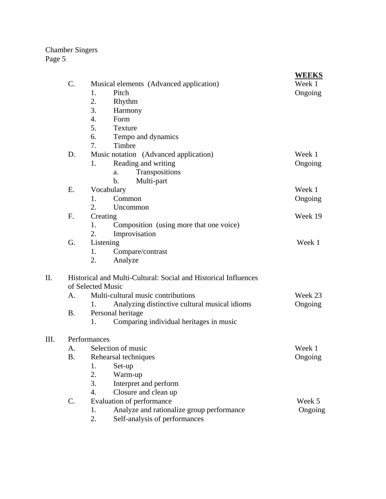| 1.<br>Pitch<br>Ongoing<br>2.<br>Rhythm<br>3.<br>Harmony<br>4.<br>Form<br>5.<br><b>Texture</b><br>6.<br>Tempo and dynamics<br>7.<br>Timbre<br>Music notation (Advanced application)<br>D.<br>Week 1<br>Reading and writing<br>1.<br>Ongoing<br>Transpositions<br>a.<br>Multi-part<br>$\mathbf b$ .<br>E.<br>Vocabulary<br>Week 1<br>Common<br>Ongoing<br>1.<br>2.<br>Uncommon<br>F.<br>Creating<br>Week 19<br>Composition (using more that one voice)<br>1.<br>2.<br>Improvisation<br>Listening<br>G.<br>Week 1<br>Compare/contrast<br>1.<br>2.<br>Analyze<br>Historical and Multi-Cultural: Social and Historical Influences<br>of Selected Music<br>Multi-cultural music contributions<br>Week 23<br>А.<br>Analyzing distinctive cultural musical idioms<br>Ongoing<br>1.<br><b>B.</b><br>Personal heritage<br>1.<br>Comparing individual heritages in music<br>Performances<br>Selection of music<br>Week 1<br>А.<br>B.<br>Rehearsal techniques<br>Ongoing<br>1.<br>Set-up<br>2.<br>Warm-up<br>Interpret and perform<br>3.<br>4.<br>Closure and clean up<br>Evaluation of performance<br>$\mathbf{C}$ .<br>Week 5<br>Analyze and rationalize group performance<br>1.<br>Ongoing |      |                 |                                         | <b>WEEKS</b> |  |  |  |
|-----------------------------------------------------------------------------------------------------------------------------------------------------------------------------------------------------------------------------------------------------------------------------------------------------------------------------------------------------------------------------------------------------------------------------------------------------------------------------------------------------------------------------------------------------------------------------------------------------------------------------------------------------------------------------------------------------------------------------------------------------------------------------------------------------------------------------------------------------------------------------------------------------------------------------------------------------------------------------------------------------------------------------------------------------------------------------------------------------------------------------------------------------------------------------------|------|-----------------|-----------------------------------------|--------------|--|--|--|
|                                                                                                                                                                                                                                                                                                                                                                                                                                                                                                                                                                                                                                                                                                                                                                                                                                                                                                                                                                                                                                                                                                                                                                                   |      | $\mathcal{C}$ . | Musical elements (Advanced application) | Week 1       |  |  |  |
|                                                                                                                                                                                                                                                                                                                                                                                                                                                                                                                                                                                                                                                                                                                                                                                                                                                                                                                                                                                                                                                                                                                                                                                   |      |                 |                                         |              |  |  |  |
|                                                                                                                                                                                                                                                                                                                                                                                                                                                                                                                                                                                                                                                                                                                                                                                                                                                                                                                                                                                                                                                                                                                                                                                   |      |                 |                                         |              |  |  |  |
|                                                                                                                                                                                                                                                                                                                                                                                                                                                                                                                                                                                                                                                                                                                                                                                                                                                                                                                                                                                                                                                                                                                                                                                   |      |                 |                                         |              |  |  |  |
|                                                                                                                                                                                                                                                                                                                                                                                                                                                                                                                                                                                                                                                                                                                                                                                                                                                                                                                                                                                                                                                                                                                                                                                   |      |                 |                                         |              |  |  |  |
|                                                                                                                                                                                                                                                                                                                                                                                                                                                                                                                                                                                                                                                                                                                                                                                                                                                                                                                                                                                                                                                                                                                                                                                   |      |                 |                                         |              |  |  |  |
|                                                                                                                                                                                                                                                                                                                                                                                                                                                                                                                                                                                                                                                                                                                                                                                                                                                                                                                                                                                                                                                                                                                                                                                   |      |                 |                                         |              |  |  |  |
|                                                                                                                                                                                                                                                                                                                                                                                                                                                                                                                                                                                                                                                                                                                                                                                                                                                                                                                                                                                                                                                                                                                                                                                   |      |                 |                                         |              |  |  |  |
|                                                                                                                                                                                                                                                                                                                                                                                                                                                                                                                                                                                                                                                                                                                                                                                                                                                                                                                                                                                                                                                                                                                                                                                   |      |                 |                                         |              |  |  |  |
|                                                                                                                                                                                                                                                                                                                                                                                                                                                                                                                                                                                                                                                                                                                                                                                                                                                                                                                                                                                                                                                                                                                                                                                   |      |                 |                                         |              |  |  |  |
|                                                                                                                                                                                                                                                                                                                                                                                                                                                                                                                                                                                                                                                                                                                                                                                                                                                                                                                                                                                                                                                                                                                                                                                   |      |                 |                                         |              |  |  |  |
|                                                                                                                                                                                                                                                                                                                                                                                                                                                                                                                                                                                                                                                                                                                                                                                                                                                                                                                                                                                                                                                                                                                                                                                   |      |                 |                                         |              |  |  |  |
|                                                                                                                                                                                                                                                                                                                                                                                                                                                                                                                                                                                                                                                                                                                                                                                                                                                                                                                                                                                                                                                                                                                                                                                   |      |                 |                                         |              |  |  |  |
|                                                                                                                                                                                                                                                                                                                                                                                                                                                                                                                                                                                                                                                                                                                                                                                                                                                                                                                                                                                                                                                                                                                                                                                   |      |                 |                                         |              |  |  |  |
|                                                                                                                                                                                                                                                                                                                                                                                                                                                                                                                                                                                                                                                                                                                                                                                                                                                                                                                                                                                                                                                                                                                                                                                   |      |                 |                                         |              |  |  |  |
|                                                                                                                                                                                                                                                                                                                                                                                                                                                                                                                                                                                                                                                                                                                                                                                                                                                                                                                                                                                                                                                                                                                                                                                   |      |                 |                                         |              |  |  |  |
|                                                                                                                                                                                                                                                                                                                                                                                                                                                                                                                                                                                                                                                                                                                                                                                                                                                                                                                                                                                                                                                                                                                                                                                   |      |                 |                                         |              |  |  |  |
|                                                                                                                                                                                                                                                                                                                                                                                                                                                                                                                                                                                                                                                                                                                                                                                                                                                                                                                                                                                                                                                                                                                                                                                   |      |                 |                                         |              |  |  |  |
|                                                                                                                                                                                                                                                                                                                                                                                                                                                                                                                                                                                                                                                                                                                                                                                                                                                                                                                                                                                                                                                                                                                                                                                   |      |                 |                                         |              |  |  |  |
|                                                                                                                                                                                                                                                                                                                                                                                                                                                                                                                                                                                                                                                                                                                                                                                                                                                                                                                                                                                                                                                                                                                                                                                   |      |                 |                                         |              |  |  |  |
|                                                                                                                                                                                                                                                                                                                                                                                                                                                                                                                                                                                                                                                                                                                                                                                                                                                                                                                                                                                                                                                                                                                                                                                   |      |                 |                                         |              |  |  |  |
|                                                                                                                                                                                                                                                                                                                                                                                                                                                                                                                                                                                                                                                                                                                                                                                                                                                                                                                                                                                                                                                                                                                                                                                   | II.  |                 |                                         |              |  |  |  |
|                                                                                                                                                                                                                                                                                                                                                                                                                                                                                                                                                                                                                                                                                                                                                                                                                                                                                                                                                                                                                                                                                                                                                                                   |      |                 |                                         |              |  |  |  |
|                                                                                                                                                                                                                                                                                                                                                                                                                                                                                                                                                                                                                                                                                                                                                                                                                                                                                                                                                                                                                                                                                                                                                                                   |      |                 |                                         |              |  |  |  |
|                                                                                                                                                                                                                                                                                                                                                                                                                                                                                                                                                                                                                                                                                                                                                                                                                                                                                                                                                                                                                                                                                                                                                                                   |      |                 |                                         |              |  |  |  |
|                                                                                                                                                                                                                                                                                                                                                                                                                                                                                                                                                                                                                                                                                                                                                                                                                                                                                                                                                                                                                                                                                                                                                                                   |      |                 |                                         |              |  |  |  |
|                                                                                                                                                                                                                                                                                                                                                                                                                                                                                                                                                                                                                                                                                                                                                                                                                                                                                                                                                                                                                                                                                                                                                                                   | III. |                 |                                         |              |  |  |  |
|                                                                                                                                                                                                                                                                                                                                                                                                                                                                                                                                                                                                                                                                                                                                                                                                                                                                                                                                                                                                                                                                                                                                                                                   |      |                 |                                         |              |  |  |  |
|                                                                                                                                                                                                                                                                                                                                                                                                                                                                                                                                                                                                                                                                                                                                                                                                                                                                                                                                                                                                                                                                                                                                                                                   |      |                 |                                         |              |  |  |  |
|                                                                                                                                                                                                                                                                                                                                                                                                                                                                                                                                                                                                                                                                                                                                                                                                                                                                                                                                                                                                                                                                                                                                                                                   |      |                 |                                         |              |  |  |  |
|                                                                                                                                                                                                                                                                                                                                                                                                                                                                                                                                                                                                                                                                                                                                                                                                                                                                                                                                                                                                                                                                                                                                                                                   |      |                 |                                         |              |  |  |  |
|                                                                                                                                                                                                                                                                                                                                                                                                                                                                                                                                                                                                                                                                                                                                                                                                                                                                                                                                                                                                                                                                                                                                                                                   |      |                 |                                         |              |  |  |  |
|                                                                                                                                                                                                                                                                                                                                                                                                                                                                                                                                                                                                                                                                                                                                                                                                                                                                                                                                                                                                                                                                                                                                                                                   |      |                 |                                         |              |  |  |  |
|                                                                                                                                                                                                                                                                                                                                                                                                                                                                                                                                                                                                                                                                                                                                                                                                                                                                                                                                                                                                                                                                                                                                                                                   |      |                 |                                         |              |  |  |  |
|                                                                                                                                                                                                                                                                                                                                                                                                                                                                                                                                                                                                                                                                                                                                                                                                                                                                                                                                                                                                                                                                                                                                                                                   |      |                 |                                         |              |  |  |  |
|                                                                                                                                                                                                                                                                                                                                                                                                                                                                                                                                                                                                                                                                                                                                                                                                                                                                                                                                                                                                                                                                                                                                                                                   |      |                 | 2.<br>Self-analysis of performances     |              |  |  |  |